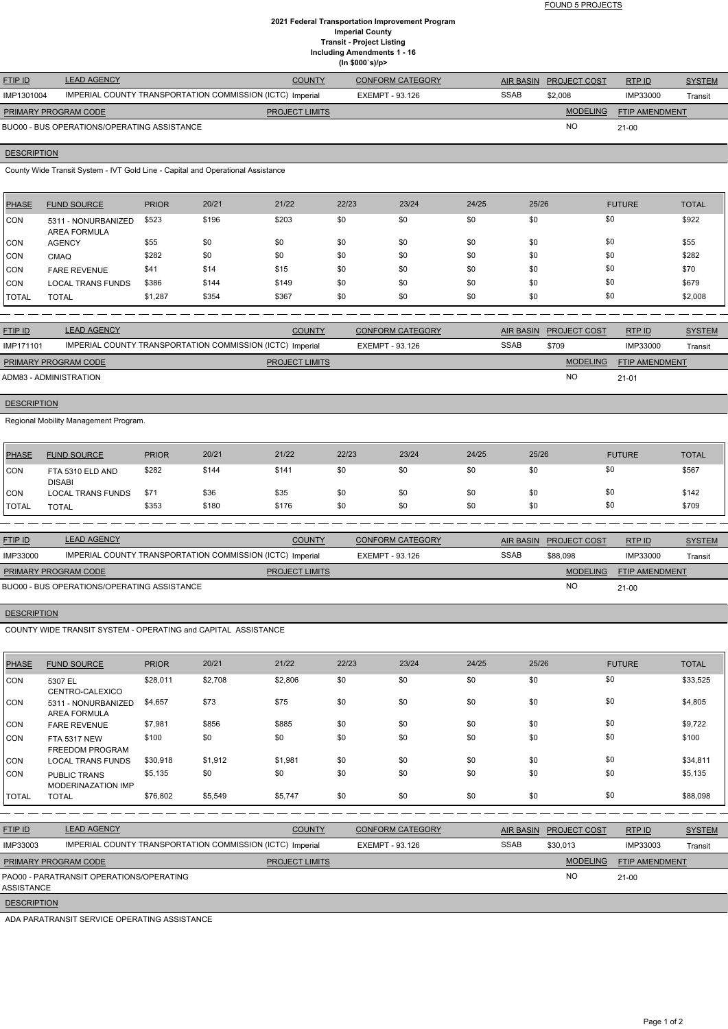FOUND 5 PROJECTS

#### **2021 Federal Transportation Improvement Program Imperial County Transit - Project Listing Including Amendments 1 - 16 (In \$000`s)/p>**

| <b>FTIP ID</b>              | <b>LEAD AGENCY</b>                                        | <b>COUNTY</b>         | <b>CONFORM CATEGORY</b> |             | AIR BASIN PROJECT COST | RTPID                 | <b>SYSTEM</b> |
|-----------------------------|-----------------------------------------------------------|-----------------------|-------------------------|-------------|------------------------|-----------------------|---------------|
| IMP1301004                  | IMPERIAL COUNTY TRANSPORTATION COMMISSION (ICTC) Imperial |                       | EXEMPT - 93.126         | <b>SSAB</b> | \$2,008                | IMP33000              | Transit       |
| <b>PRIMARY PROGRAM CODE</b> |                                                           | <b>PROJECT LIMITS</b> |                         |             | <b>MODELING</b>        | <b>FTIP AMENDMENT</b> |               |
|                             | BUO00 - BUS OPERATIONS/OPERATING ASSISTANCE               |                       |                         |             | <b>NO</b>              | $21-00$               |               |

# **DESCRIPTION**

County Wide Transit System - IVT Gold Line - Capital and Operational Assistance

| PHASE        | <b>FUND SOURCE</b>                         | <b>PRIOR</b> | 20/21 | 21/22 | 22/23 | 23/24 | 24/25 | 25/26 | <b>FUTURE</b> | <b>TOTAL</b> |
|--------------|--------------------------------------------|--------------|-------|-------|-------|-------|-------|-------|---------------|--------------|
| CON          | 5311 - NONURBANIZED<br><b>AREA FORMULA</b> | \$523        | \$196 | \$203 | \$0   | \$0   | \$0   | \$0   | \$0           | \$922        |
| <b>CON</b>   | <b>AGENCY</b>                              | \$55         | \$0   | \$0   | \$0   | \$0   | \$0   | \$0   | \$0           | \$55         |
| <b>CON</b>   | <b>CMAQ</b>                                | \$282        | \$0   | \$0   | \$0   | \$0   | \$0   | \$0   | \$0           | \$282        |
| <b>CON</b>   | <b>FARE REVENUE</b>                        | \$41         | \$14  | \$15  | \$0   | \$0   | \$0   | \$0   | \$0           | \$70         |
| <b>CON</b>   | <b>LOCAL TRANS FUNDS</b>                   | \$386        | \$144 | \$149 | \$0   | \$0   | \$0   | \$0   | \$0           | \$679        |
| <b>TOTAL</b> | <b>TOTAL</b>                               | \$1,287      | \$354 | \$367 | \$0   | \$0   | \$0   | \$0   | \$0           | \$2,008      |

| <b>FTIP ID</b>              | <b>LEAD AGENCY</b>                                        | <b>COUNTY</b>         | <b>CONFORM CATEGORY</b> |             | AIR BASIN PROJECT COST | RTP ID                | <b>SYSTEM</b> |
|-----------------------------|-----------------------------------------------------------|-----------------------|-------------------------|-------------|------------------------|-----------------------|---------------|
| IMP171101                   | IMPERIAL COUNTY TRANSPORTATION COMMISSION (ICTC) Imperial |                       | EXEMPT - 93.126         | <b>SSAB</b> | \$709                  | IMP33000              | Transit       |
| <b>PRIMARY PROGRAM CODE</b> |                                                           | <b>PROJECT LIMITS</b> |                         |             | <b>MODELING</b>        | <b>FTIP AMENDMENT</b> |               |
| ADM83 - ADMINISTRATION      |                                                           |                       |                         |             | <b>NO</b>              | $21 - 01$             |               |

### **DESCRIPTION**

Regional Mobility Management Program.

| <b>PHASE</b>  | <b>FUND SOURCE</b>                | <b>PRIOR</b> | 20/21 | 21/22 | 22/23 | 23/24 | 24/25 | 25/26 | <b>FUTURE</b> | <b>TOTAL</b> |
|---------------|-----------------------------------|--------------|-------|-------|-------|-------|-------|-------|---------------|--------------|
| <b>CON</b>    | FTA 5310 ELD AND<br><b>DISABI</b> | \$282        | \$144 | \$141 | \$0   | \$0   | \$0   | \$0   | \$0           | \$567        |
| ICON          | LOCAL TRANS FUNDS                 | \$71         | \$36  | \$35  | \$0   | \$0   | \$0   | \$0   | \$0           | \$142        |
| <b>ITOTAL</b> | <b>TOTAL</b>                      | \$353        | \$180 | \$176 | \$0   | \$0   | \$0   | \$0   | \$0           | \$709        |

| <b>FTIP ID</b>              | <b>LEAD AGENCY</b>                                        | <b>COUNTY</b>         | CONFORM CATEGORY |             | AIR BASIN PROJECT COST | RTP ID                | <b>SYSTEM</b> |
|-----------------------------|-----------------------------------------------------------|-----------------------|------------------|-------------|------------------------|-----------------------|---------------|
| IMP33000                    | IMPERIAL COUNTY TRANSPORTATION COMMISSION (ICTC) Imperial |                       | EXEMPT - 93.126  | <b>SSAB</b> | \$88,098               | IMP33000              | Transit       |
| <b>PRIMARY PROGRAM CODE</b> |                                                           | <b>PROJECT LIMITS</b> |                  |             | <b>MODELING</b>        | <b>FTIP AMENDMENT</b> |               |
|                             | BUO00 - BUS OPERATIONS/OPERATING ASSISTANCE               |                       |                  |             | N <sub>O</sub>         | $21 - 00$             |               |

### **DESCRIPTION**

COUNTY WIDE TRANSIT SYSTEM - OPERATING and CAPITAL ASSISTANCE

| <b>PHASE</b>       | <b>FUND SOURCE</b>                                        | <b>PRIOR</b> | 20/21   | 21/22                 | 22/23                  | 23/24                   | 24/25            | 25/26               | <b>FUTURE</b>  | <b>TOTAL</b>  |
|--------------------|-----------------------------------------------------------|--------------|---------|-----------------------|------------------------|-------------------------|------------------|---------------------|----------------|---------------|
| <b>CON</b>         | 5307 EL<br>CENTRO-CALEXICO                                | \$28,011     | \$2,708 | \$2,806               | \$0                    | \$0                     | \$0              | \$0                 | \$0            | \$33,525      |
| <b>CON</b>         | 5311 - NONURBANIZED<br><b>AREA FORMULA</b>                | \$4,657      | \$73    | \$75                  | \$0                    | \$0                     | \$0              | \$0                 | \$0            | \$4,805       |
| CON                | <b>FARE REVENUE</b>                                       | \$7,981      | \$856   | \$885                 | \$0                    | \$0                     | \$0              | \$0                 | \$0            | \$9,722       |
| CON                | <b>FTA 5317 NEW</b><br><b>FREEDOM PROGRAM</b>             | \$100        | \$0     | \$0                   | \$0                    | \$0                     | \$0              | \$0                 | \$0            | \$100         |
| <b>CON</b>         | <b>LOCAL TRANS FUNDS</b>                                  | \$30,918     | \$1,912 | \$1,981               | \$0                    | \$0                     | \$0              | \$0                 | \$0            | \$34,811      |
| <b>CON</b>         | <b>PUBLIC TRANS</b><br>MODERINAZATION IMP                 | \$5,135      | \$0     | \$0                   | \$0                    | \$0                     | \$0              | \$0                 | \$0            | \$5,135       |
| <b>TOTAL</b>       | <b>TOTAL</b>                                              | \$76,802     | \$5,549 | \$5,747               | \$0                    | \$0                     | \$0              | \$0                 | \$0            | \$88,098      |
|                    |                                                           |              |         |                       |                        |                         |                  |                     |                |               |
| FTIP ID            | <b>LEAD AGENCY</b>                                        |              |         | <b>COUNTY</b>         |                        | <b>CONFORM CATEGORY</b> | <b>AIR BASIN</b> | <b>PROJECT COST</b> | RTP ID         | <b>SYSTEM</b> |
| IMP33003           | IMPERIAL COUNTY TRANSPORTATION COMMISSION (ICTC) Imperial |              |         |                       | <b>EXEMPT - 93.126</b> |                         | <b>SSAB</b>      | \$30,013            | IMP33003       | Transit       |
|                    | PRIMARY PROGRAM CODE                                      |              |         | <b>PROJECT LIMITS</b> |                        |                         |                  | <b>MODELING</b>     | FTIP AMENDMENT |               |
| ASSISTANCE         | PAO00 - PARATRANSIT OPERATIONS/OPERATING                  |              |         |                       |                        |                         |                  | NO                  | $21 - 00$      |               |
| <b>DESCRIPTION</b> |                                                           |              |         |                       |                        |                         |                  |                     |                |               |

ADA PARATRANSIT SERVICE OPERATING ASSISTANCE